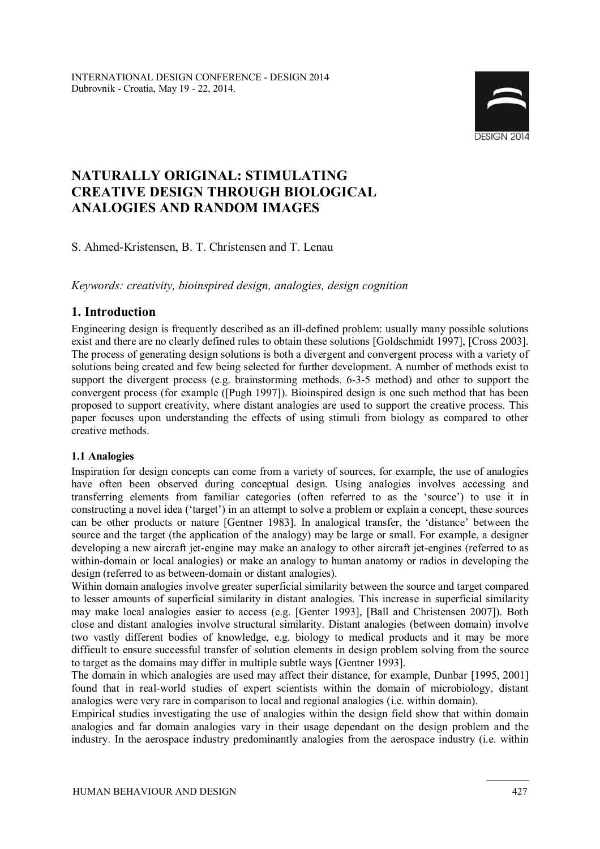

# **NATURALLY ORIGINAL: STIMULATING CREATIVE DESIGN THROUGH BIOLOGICAL ANALOGIES AND RANDOM IMAGES**

S. Ahmed-Kristensen, B. T. Christensen and T. Lenau

*Keywords: creativity, bioinspired design, analogies, design cognition* 

# **1. Introduction**

Engineering design is frequently described as an ill-defined problem: usually many possible solutions exist and there are no clearly defined rules to obtain these solutions [Goldschmidt 1997], [Cross 2003]. The process of generating design solutions is both a divergent and convergent process with a variety of solutions being created and few being selected for further development. A number of methods exist to support the divergent process (e.g. brainstorming methods. 6-3-5 method) and other to support the convergent process (for example ([Pugh 1997]). Bioinspired design is one such method that has been proposed to support creativity, where distant analogies are used to support the creative process. This paper focuses upon understanding the effects of using stimuli from biology as compared to other creative methods.

#### **1.1 Analogies**

Inspiration for design concepts can come from a variety of sources, for example, the use of analogies have often been observed during conceptual design. Using analogies involves accessing and transferring elements from familiar categories (often referred to as the 'source') to use it in constructing a novel idea ('target') in an attempt to solve a problem or explain a concept, these sources can be other products or nature [Gentner 1983]. In analogical transfer, the 'distance' between the source and the target (the application of the analogy) may be large or small. For example, a designer developing a new aircraft jet-engine may make an analogy to other aircraft jet-engines (referred to as within-domain or local analogies) or make an analogy to human anatomy or radios in developing the design (referred to as between-domain or distant analogies).

Within domain analogies involve greater superficial similarity between the source and target compared to lesser amounts of superficial similarity in distant analogies. This increase in superficial similarity may make local analogies easier to access (e.g. [Genter 1993], [Ball and Christensen 2007]). Both close and distant analogies involve structural similarity. Distant analogies (between domain) involve two vastly different bodies of knowledge, e.g. biology to medical products and it may be more difficult to ensure successful transfer of solution elements in design problem solving from the source to target as the domains may differ in multiple subtle ways [Gentner 1993].

The domain in which analogies are used may affect their distance, for example, Dunbar [1995, 2001] found that in real-world studies of expert scientists within the domain of microbiology, distant analogies were very rare in comparison to local and regional analogies (i.e. within domain).

Empirical studies investigating the use of analogies within the design field show that within domain analogies and far domain analogies vary in their usage dependant on the design problem and the industry. In the aerospace industry predominantly analogies from the aerospace industry (i.e. within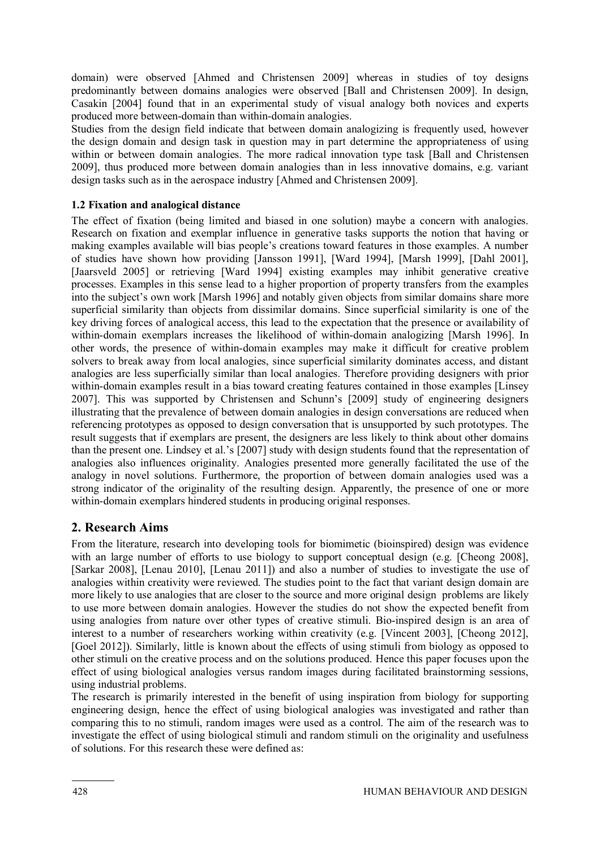domain) were observed [Ahmed and Christensen 2009] whereas in studies of toy designs predominantly between domains analogies were observed [Ball and Christensen 2009]. In design, Casakin [2004] found that in an experimental study of visual analogy both novices and experts produced more between-domain than within-domain analogies.

Studies from the design field indicate that between domain analogizing is frequently used, however the design domain and design task in question may in part determine the appropriateness of using within or between domain analogies. The more radical innovation type task [Ball and Christensen 2009], thus produced more between domain analogies than in less innovative domains, e.g. variant design tasks such as in the aerospace industry [Ahmed and Christensen 2009].

### **1.2 Fixation and analogical distance**

The effect of fixation (being limited and biased in one solution) maybe a concern with analogies. Research on fixation and exemplar influence in generative tasks supports the notion that having or making examples available will bias people's creations toward features in those examples. A number of studies have shown how providing [Jansson 1991], [Ward 1994], [Marsh 1999], [Dahl 2001], [Jaarsveld 2005] or retrieving [Ward 1994] existing examples may inhibit generative creative processes. Examples in this sense lead to a higher proportion of property transfers from the examples into the subject's own work [Marsh 1996] and notably given objects from similar domains share more superficial similarity than objects from dissimilar domains. Since superficial similarity is one of the key driving forces of analogical access, this lead to the expectation that the presence or availability of within-domain exemplars increases the likelihood of within-domain analogizing [Marsh 1996]. In other words, the presence of within-domain examples may make it difficult for creative problem solvers to break away from local analogies, since superficial similarity dominates access, and distant analogies are less superficially similar than local analogies. Therefore providing designers with prior within-domain examples result in a bias toward creating features contained in those examples [Linsey 2007]. This was supported by Christensen and Schunn's [2009] study of engineering designers illustrating that the prevalence of between domain analogies in design conversations are reduced when referencing prototypes as opposed to design conversation that is unsupported by such prototypes. The result suggests that if exemplars are present, the designers are less likely to think about other domains than the present one. Lindsey et al.'s [2007] study with design students found that the representation of analogies also influences originality. Analogies presented more generally facilitated the use of the analogy in novel solutions. Furthermore, the proportion of between domain analogies used was a strong indicator of the originality of the resulting design. Apparently, the presence of one or more within-domain exemplars hindered students in producing original responses.

### **2. Research Aims**

From the literature, research into developing tools for biomimetic (bioinspired) design was evidence with an large number of efforts to use biology to support conceptual design (e.g. [Cheong 2008], [Sarkar 2008], [Lenau 2010], [Lenau 2011]) and also a number of studies to investigate the use of analogies within creativity were reviewed. The studies point to the fact that variant design domain are more likely to use analogies that are closer to the source and more original design problems are likely to use more between domain analogies. However the studies do not show the expected benefit from using analogies from nature over other types of creative stimuli. Bio-inspired design is an area of interest to a number of researchers working within creativity (e.g. [Vincent 2003], [Cheong 2012], [Goel 2012]). Similarly, little is known about the effects of using stimuli from biology as opposed to other stimuli on the creative process and on the solutions produced. Hence this paper focuses upon the effect of using biological analogies versus random images during facilitated brainstorming sessions, using industrial problems.

The research is primarily interested in the benefit of using inspiration from biology for supporting engineering design, hence the effect of using biological analogies was investigated and rather than comparing this to no stimuli, random images were used as a control. The aim of the research was to investigate the effect of using biological stimuli and random stimuli on the originality and usefulness of solutions. For this research these were defined as: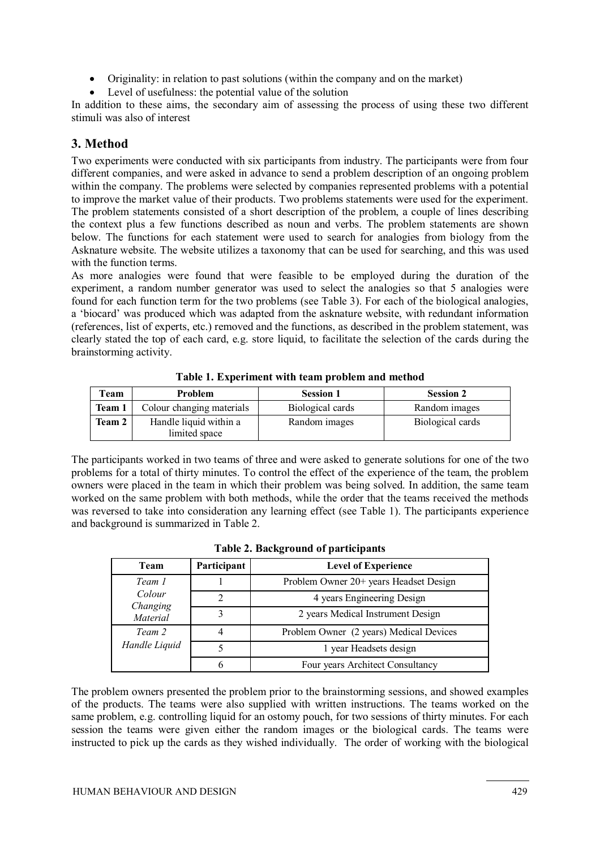- Originality: in relation to past solutions (within the company and on the market)
- Level of usefulness: the potential value of the solution

In addition to these aims, the secondary aim of assessing the process of using these two different stimuli was also of interest

### **3. Method**

Two experiments were conducted with six participants from industry. The participants were from four different companies, and were asked in advance to send a problem description of an ongoing problem within the company. The problems were selected by companies represented problems with a potential to improve the market value of their products. Two problems statements were used for the experiment. The problem statements consisted of a short description of the problem, a couple of lines describing the context plus a few functions described as noun and verbs. The problem statements are shown below. The functions for each statement were used to search for analogies from biology from the Asknature website. The website utilizes a taxonomy that can be used for searching, and this was used with the function terms.

As more analogies were found that were feasible to be employed during the duration of the experiment, a random number generator was used to select the analogies so that 5 analogies were found for each function term for the two problems (see Table 3). For each of the biological analogies, a 'biocard' was produced which was adapted from the asknature website, with redundant information (references, list of experts, etc.) removed and the functions, as described in the problem statement, was clearly stated the top of each card, e.g. store liquid, to facilitate the selection of the cards during the brainstorming activity.

| Team          | Problem                                 | <b>Session 1</b> | <b>Session 2</b> |
|---------------|-----------------------------------------|------------------|------------------|
| Team 1        | Colour changing materials               | Biological cards | Random images    |
| <b>Team 2</b> | Handle liquid within a<br>limited space | Random images    | Biological cards |

**Table 1. Experiment with team problem and method** 

The participants worked in two teams of three and were asked to generate solutions for one of the two problems for a total of thirty minutes. To control the effect of the experience of the team, the problem owners were placed in the team in which their problem was being solved. In addition, the same team worked on the same problem with both methods, while the order that the teams received the methods was reversed to take into consideration any learning effect (see Table 1). The participants experience and background is summarized in Table 2.

| <b>Team</b>        | Participant                            | <b>Level of Experience</b>              |
|--------------------|----------------------------------------|-----------------------------------------|
| Team 1             | Problem Owner 20+ years Headset Design |                                         |
| Colour<br>Changing |                                        | 4 years Engineering Design              |
| Material           |                                        | 2 years Medical Instrument Design       |
| Team 2             |                                        | Problem Owner (2 years) Medical Devices |
| Handle Liquid      |                                        | 1 year Headsets design                  |
|                    |                                        | Four years Architect Consultancy        |

**Table 2. Background of participants** 

The problem owners presented the problem prior to the brainstorming sessions, and showed examples of the products. The teams were also supplied with written instructions. The teams worked on the same problem, e.g. controlling liquid for an ostomy pouch, for two sessions of thirty minutes. For each session the teams were given either the random images or the biological cards. The teams were instructed to pick up the cards as they wished individually. The order of working with the biological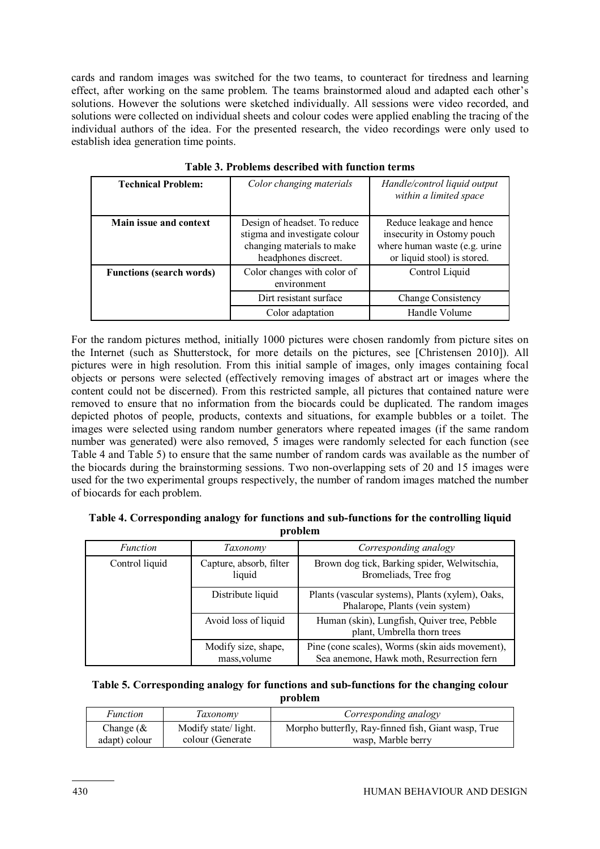cards and random images was switched for the two teams, to counteract for tiredness and learning effect, after working on the same problem. The teams brainstormed aloud and adapted each other's solutions. However the solutions were sketched individually. All sessions were video recorded, and solutions were collected on individual sheets and colour codes were applied enabling the tracing of the individual authors of the idea. For the presented research, the video recordings were only used to establish idea generation time points.

| <b>Technical Problem:</b>       | Color changing materials                                                                                            | Handle/control liquid output<br>within a limited space                                                                 |  |
|---------------------------------|---------------------------------------------------------------------------------------------------------------------|------------------------------------------------------------------------------------------------------------------------|--|
| Main issue and context          | Design of headset. To reduce<br>stigma and investigate colour<br>changing materials to make<br>headphones discreet. | Reduce leakage and hence<br>insecurity in Ostomy pouch<br>where human waste (e.g. urine<br>or liquid stool) is stored. |  |
| <b>Functions (search words)</b> | Color changes with color of<br>environment                                                                          | Control Liquid                                                                                                         |  |
|                                 | Dirt resistant surface                                                                                              | <b>Change Consistency</b>                                                                                              |  |
|                                 | Color adaptation                                                                                                    | Handle Volume                                                                                                          |  |

|  |  | Table 3. Problems described with function terms |
|--|--|-------------------------------------------------|
|  |  |                                                 |

For the random pictures method, initially 1000 pictures were chosen randomly from picture sites on the Internet (such as Shutterstock, for more details on the pictures, see [Christensen 2010]). All pictures were in high resolution. From this initial sample of images, only images containing focal objects or persons were selected (effectively removing images of abstract art or images where the content could not be discerned). From this restricted sample, all pictures that contained nature were removed to ensure that no information from the biocards could be duplicated. The random images depicted photos of people, products, contexts and situations, for example bubbles or a toilet. The images were selected using random number generators where repeated images (if the same random number was generated) were also removed, 5 images were randomly selected for each function (see Table 4 and Table 5) to ensure that the same number of random cards was available as the number of the biocards during the brainstorming sessions. Two non-overlapping sets of 20 and 15 images were used for the two experimental groups respectively, the number of random images matched the number of biocards for each problem.

#### **Table 4. Corresponding analogy for functions and sub-functions for the controlling liquid problem**

| <i>Function</i> | Taxonomy                            | Corresponding analogy                                                                        |
|-----------------|-------------------------------------|----------------------------------------------------------------------------------------------|
| Control liquid  | Capture, absorb, filter<br>liquid   | Brown dog tick, Barking spider, Welwitschia,<br>Bromeliads, Tree frog                        |
|                 | Distribute liquid                   | Plants (vascular systems), Plants (xylem), Oaks,<br>Phalarope, Plants (vein system)          |
|                 | Avoid loss of liquid                | Human (skin), Lungfish, Quiver tree, Pebble<br>plant, Umbrella thorn trees                   |
|                 | Modify size, shape,<br>mass, volume | Pine (cone scales), Worms (skin aids movement),<br>Sea anemone, Hawk moth, Resurrection fern |

#### **Table 5. Corresponding analogy for functions and sub-functions for the changing colour problem**

| Function      | Taxonomv            | Corresponding analogy                               |
|---------------|---------------------|-----------------------------------------------------|
| Change $(\&$  | Modify state/light. | Morpho butterfly, Ray-finned fish, Giant wasp, True |
| adapt) colour | colour (Generate    | wasp, Marble berry                                  |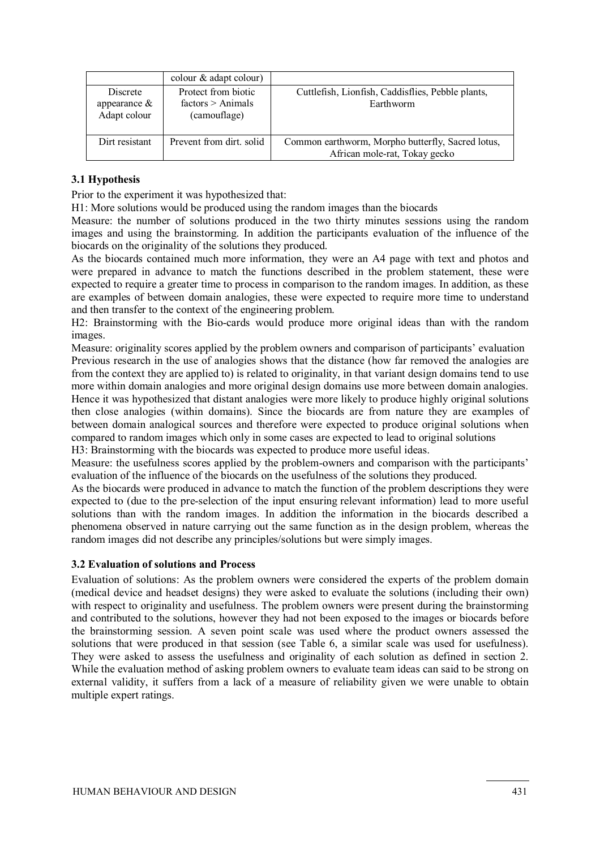|                                             | colour & adapt colour)                                   |                                                                                    |
|---------------------------------------------|----------------------------------------------------------|------------------------------------------------------------------------------------|
| Discrete<br>appearance $\&$<br>Adapt colour | Protect from biotic<br>factors > Animals<br>(camouflage) | Cuttlefish, Lionfish, Caddisflies, Pebble plants,<br>Earthworm                     |
| Dirt resistant                              | Prevent from dirt. solid                                 | Common earthworm, Morpho butterfly, Sacred lotus,<br>African mole-rat, Tokay gecko |

### **3.1 Hypothesis**

Prior to the experiment it was hypothesized that:

H1: More solutions would be produced using the random images than the biocards

Measure: the number of solutions produced in the two thirty minutes sessions using the random images and using the brainstorming. In addition the participants evaluation of the influence of the biocards on the originality of the solutions they produced.

As the biocards contained much more information, they were an A4 page with text and photos and were prepared in advance to match the functions described in the problem statement, these were expected to require a greater time to process in comparison to the random images. In addition, as these are examples of between domain analogies, these were expected to require more time to understand and then transfer to the context of the engineering problem.

H2: Brainstorming with the Bio-cards would produce more original ideas than with the random images.

Measure: originality scores applied by the problem owners and comparison of participants' evaluation Previous research in the use of analogies shows that the distance (how far removed the analogies are from the context they are applied to) is related to originality, in that variant design domains tend to use more within domain analogies and more original design domains use more between domain analogies. Hence it was hypothesized that distant analogies were more likely to produce highly original solutions then close analogies (within domains). Since the biocards are from nature they are examples of between domain analogical sources and therefore were expected to produce original solutions when compared to random images which only in some cases are expected to lead to original solutions

H3: Brainstorming with the biocards was expected to produce more useful ideas.

Measure: the usefulness scores applied by the problem-owners and comparison with the participants' evaluation of the influence of the biocards on the usefulness of the solutions they produced.

As the biocards were produced in advance to match the function of the problem descriptions they were expected to (due to the pre-selection of the input ensuring relevant information) lead to more useful solutions than with the random images. In addition the information in the biocards described a phenomena observed in nature carrying out the same function as in the design problem, whereas the random images did not describe any principles/solutions but were simply images.

#### **3.2 Evaluation of solutions and Process**

Evaluation of solutions: As the problem owners were considered the experts of the problem domain (medical device and headset designs) they were asked to evaluate the solutions (including their own) with respect to originality and usefulness. The problem owners were present during the brainstorming and contributed to the solutions, however they had not been exposed to the images or biocards before the brainstorming session. A seven point scale was used where the product owners assessed the solutions that were produced in that session (see Table 6, a similar scale was used for usefulness). They were asked to assess the usefulness and originality of each solution as defined in section 2. While the evaluation method of asking problem owners to evaluate team ideas can said to be strong on external validity, it suffers from a lack of a measure of reliability given we were unable to obtain multiple expert ratings.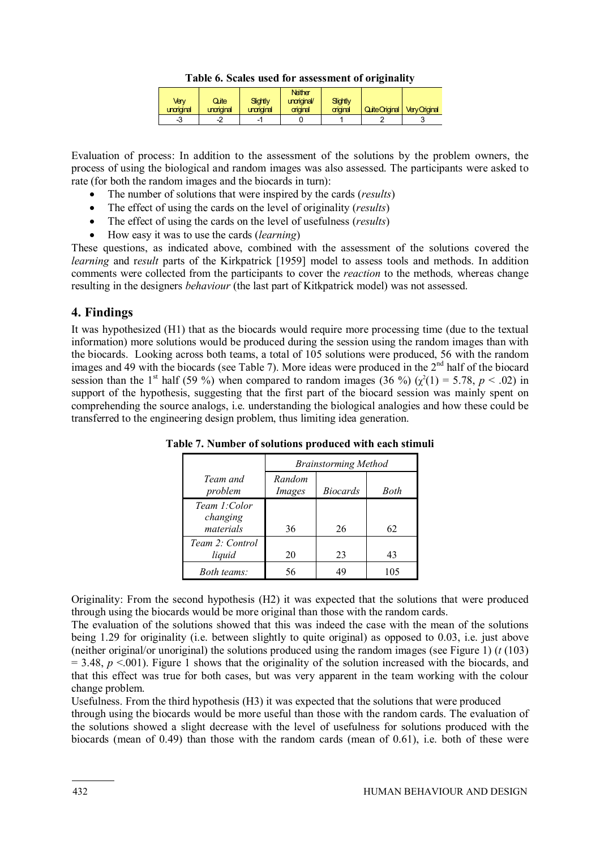| Verγ<br>unariginal | Qite<br>unoriainal | Slidtly<br>unoriginal | Neither<br>unoriginal/<br>original | Sightly<br>criginal | <b>Quite Criginal</b> | <b>Very Original</b> |
|--------------------|--------------------|-----------------------|------------------------------------|---------------------|-----------------------|----------------------|
| -3                 | -4                 |                       |                                    |                     |                       |                      |

Evaluation of process: In addition to the assessment of the solutions by the problem owners, the process of using the biological and random images was also assessed. The participants were asked to rate (for both the random images and the biocards in turn):

- The number of solutions that were inspired by the cards (*results*)
- The effect of using the cards on the level of originality (*results*)
- The effect of using the cards on the level of usefulness (*results*)
- How easy it was to use the cards (*learning*)

These questions, as indicated above, combined with the assessment of the solutions covered the *learning* and r*esult* parts of the Kirkpatrick [1959] model to assess tools and methods. In addition comments were collected from the participants to cover the *reaction* to the methods*,* whereas change resulting in the designers *behaviour* (the last part of Kitkpatrick model) was not assessed.

# **4. Findings**

It was hypothesized (H1) that as the biocards would require more processing time (due to the textual information) more solutions would be produced during the session using the random images than with the biocards. Looking across both teams, a total of 105 solutions were produced, 56 with the random images and 49 with the biocards (see Table 7). More ideas were produced in the 2<sup>nd</sup> half of the biocard session than the 1<sup>st</sup> half (59 %) when compared to random images (36 %) ( $\chi^2(1) = 5.78$ ,  $p < .02$ ) in support of the hypothesis, suggesting that the first part of the biocard session was mainly spent on comprehending the source analogs, i.e. understanding the biological analogies and how these could be transferred to the engineering design problem, thus limiting idea generation.

|                                       | <b>Brainstorming Method</b> |                 |             |  |
|---------------------------------------|-----------------------------|-----------------|-------------|--|
| Team and<br>problem                   | Random<br>Images            | <i>Biocards</i> | <b>Both</b> |  |
| Team 1:Color<br>changing<br>materials | 36                          | 26              | 62          |  |
| Team 2: Control<br>liquid             | 20                          | 23              | 43          |  |
| <i>Both teams:</i>                    | 56                          |                 | 105         |  |

**Table 7. Number of solutions produced with each stimuli** 

Originality: From the second hypothesis (H2) it was expected that the solutions that were produced through using the biocards would be more original than those with the random cards.

The evaluation of the solutions showed that this was indeed the case with the mean of the solutions being 1.29 for originality (i.e. between slightly to quite original) as opposed to 0.03, i.e. just above (neither original/or unoriginal) the solutions produced using the random images (see Figure 1) (*t* (103)  $= 3.48$ ,  $p \le 0.001$ ). Figure 1 shows that the originality of the solution increased with the biocards, and that this effect was true for both cases, but was very apparent in the team working with the colour change problem.

Usefulness. From the third hypothesis (H3) it was expected that the solutions that were produced through using the biocards would be more useful than those with the random cards. The evaluation of the solutions showed a slight decrease with the level of usefulness for solutions produced with the biocards (mean of 0.49) than those with the random cards (mean of 0.61), i.e. both of these were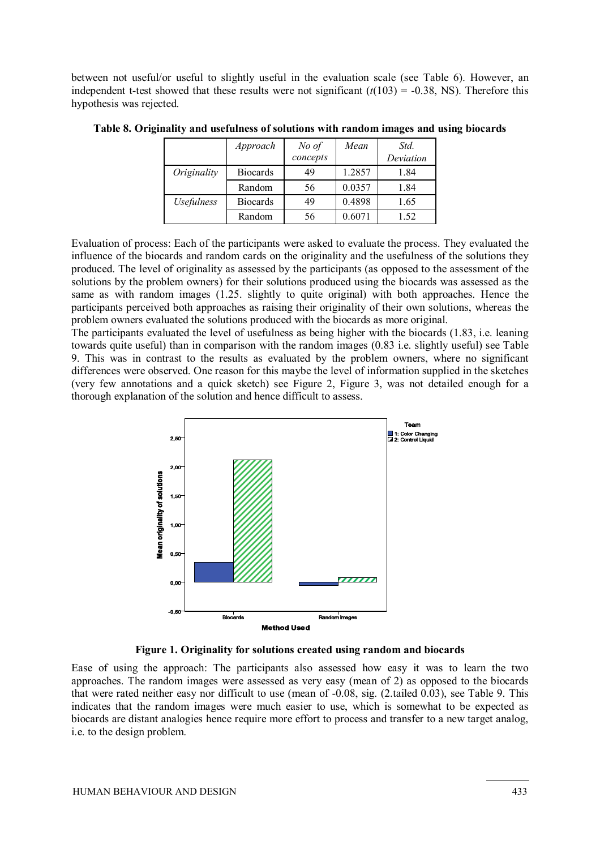between not useful/or useful to slightly useful in the evaluation scale (see Table 6). However, an independent t-test showed that these results were not significant  $(t(103) = -0.38$ , NS). Therefore this hypothesis was rejected.

|                          | Approach        | $No$ of  | Mean   | Std.      |
|--------------------------|-----------------|----------|--------|-----------|
|                          |                 | concepts |        | Deviation |
| Originality              | <b>Biocards</b> | 49       | 1.2857 | 1.84      |
|                          | Random          | 56       | 0.0357 | 1.84      |
| <i><b>Usefulness</b></i> | <b>Biocards</b> | 49       | 0.4898 | 1.65      |
|                          | Random          | 56       | 0.6071 | 1.52      |

**Table 8. Originality and usefulness of solutions with random images and using biocards** 

Evaluation of process: Each of the participants were asked to evaluate the process. They evaluated the influence of the biocards and random cards on the originality and the usefulness of the solutions they produced. The level of originality as assessed by the participants (as opposed to the assessment of the solutions by the problem owners) for their solutions produced using the biocards was assessed as the same as with random images (1.25. slightly to quite original) with both approaches. Hence the participants perceived both approaches as raising their originality of their own solutions, whereas the problem owners evaluated the solutions produced with the biocards as more original.

The participants evaluated the level of usefulness as being higher with the biocards (1.83, i.e. leaning towards quite useful) than in comparison with the random images (0.83 i.e. slightly useful) see Table 9. This was in contrast to the results as evaluated by the problem owners, where no significant differences were observed. One reason for this maybe the level of information supplied in the sketches (very few annotations and a quick sketch) see Figure 2, Figure 3, was not detailed enough for a thorough explanation of the solution and hence difficult to assess.



**Figure 1. Originality for solutions created using random and biocards** 

Ease of using the approach: The participants also assessed how easy it was to learn the two approaches. The random images were assessed as very easy (mean of 2) as opposed to the biocards that were rated neither easy nor difficult to use (mean of -0.08, sig. (2.tailed 0.03), see Table 9. This indicates that the random images were much easier to use, which is somewhat to be expected as biocards are distant analogies hence require more effort to process and transfer to a new target analog, i.e. to the design problem.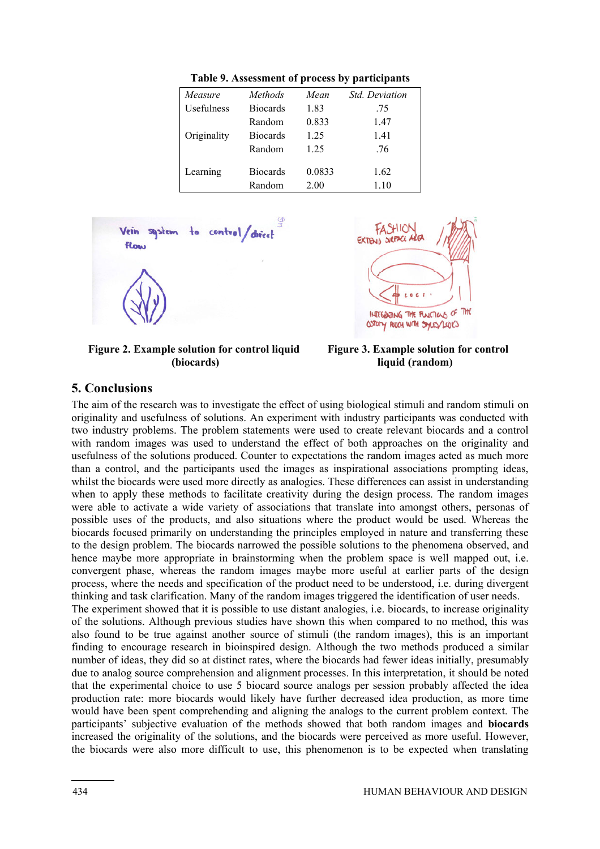| Measure     | Methods         | Mean   | <i>Std. Deviation</i> |
|-------------|-----------------|--------|-----------------------|
| Usefulness  | <b>Biocards</b> | 1.83   | .75                   |
|             | Random          | 0.833  | 1.47                  |
| Originality | <b>Biocards</b> | 1.25   | 1.41                  |
|             | Random          | 1 25   | .76                   |
|             |                 |        |                       |
| Learning    | <b>Biocards</b> | 0.0833 | 1.62                  |
|             | Random          | 2.00   | 1.10                  |

Table 9. Assessment of process by participants



 **Figure 2. Example solution for control liquid Figure (biocards)** 



 **Figure 3. Example solution for control liquid (random)**

### **5. Conclusions**

The aim of the research was to investigate the effect of using biological stimuli and random stimuli on originality and usefulness two industry problems. The problem statements were used to create relevant biocards and a control with random images was used to understand the effect of both approaches on the originality with random images was used to understand the effect of both approaches on the originality and usefulness of the solutions produced. Counter to expectations the random images acted as much more than a control, and the participants used the images as inspirational associations prompting ideas, whilst the biocards were used more directly as analogies. These differences can assist in understanding when to apply these methods to facilitate creativity during the design process. The random images were able to activate a wide variety of associations that translate into amongst others, personas of possible uses of the products, and also situations where the product would be used. Whereas the biocards focused primarily on understanding the principles employed in nature and transferring these to the design problem. The bi ocards hence maybe more appropriate in brainstorming when the problem space is well mapped out, i.e. convergent phase, whereas the random images maybe more useful at earlier parts of the design process, where the needs and specification of the product need to be understood, i.e. during divergent thinking and task clarification. Many of the random images triggered the identification of user needs. of the research was to investigate the effect of using biological stimuli and random stimuli on<br>y and usefulness of solutions. An experiment with industry participants was conducted with<br>stry problems. The problem statemen than a control, and the participants used the images as inspi<br>whilst the biocards were used more directly as analogies. These<br>when to apply these methods to facilitate creativity during th<br>were able to activate a wide vari **This P. Absormer of process** particle and<br>
Mereover Mechanis 1.8 (and the per more of as in the period of as in the period of the per more of as in the per more of as is respected to the per more of the per more of the p two industry problems. The problem statements were used to create relevant biocards and a control with random images was used to understand the effect of both approaches on the originality and usefulness of the solutions p Table 9. Assessment of process by participants<br> *bostniness* Boomta 1610, *Position*<br>
Bostniness Boomta 183<br>
Criginality Biocards 183<br>
Criginality Biocards 12.5 76<br>
Craming Biocards 12.5 76<br>
Learning Biocards 12.5 76<br>
Lear o the phenomena observed, and<br>space is well mapped out, i.e.<br>at earlier parts of the design<br>nderstood, i.e. during divergent<br>e identification of user needs.<br>biocards, to increase originality the effect of both approaches on the originality and<br>to expectations the random images acted as much more<br>images as inspirational associations prompting ideas,<br>analogies. These differences can assist in understanding<br>ativi

The experiment showed that it is possible to use distant analogies, i.e. bioca of the solutions. Although previous studies have shown this when compared to no method, this was also found to be true against another source of stimuli (the random images), this is an important finding to encourage research in bioinspired design. Although the two methods produced a similar number of ideas, they did so at distinct rates, where the biocards had fewer ideas initially, presumably due to analog source comprehension and alignment processes. In this interpretation, it should be noted that the experimental choice to use 5 biocard source analogs per session probably affected the idea production rate: more biocards would likely have further decreased idea production, as more time finding to encourage research in bioinspired design. Although the two methods produced a similar number of ideas, they did so at distinct rates, where the biocards had fewer ideas initially, presumably due to analog source participants' subjective evaluation of the methods showed that both random images and **biocards** increased the originality of the solutions, and the biocards were perceived as more useful. However, the biocards were also more difficult to use, this phenomenon is to be expected when translating ing and task clarification. Many of the random images triggered the identification of user needs.<br>experiment showed that it is possible to use distant analogies, i.e. biocards, to increase originality<br>e solutions. Although finding to encourage research in bioinspired design. Although the two methods produced a similar number of ideas, they did so at distinct rates, where the biocards had fewer ideas initially, presumably due to analog source rds,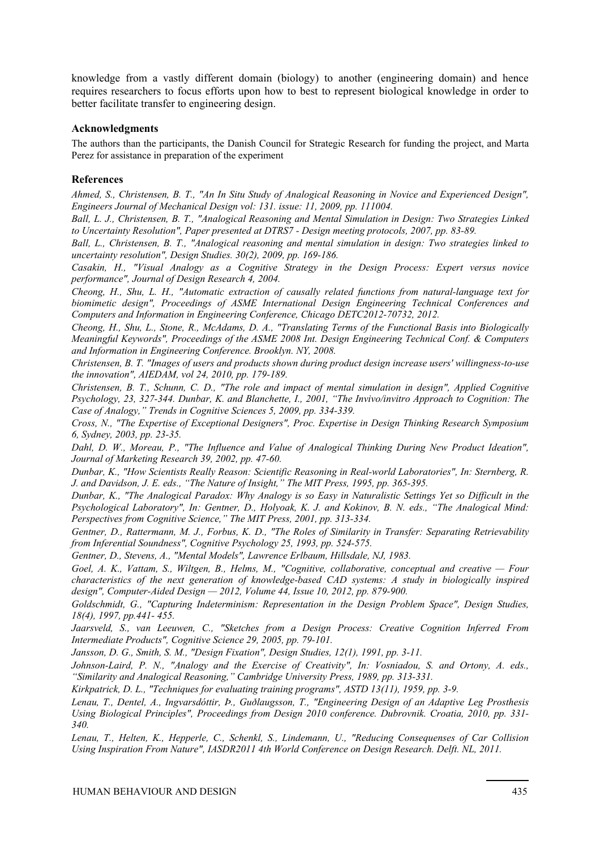knowledge from a vastly different domain (biology) to another (engineering domain) and hence requires researchers to focus efforts upon how to best to represent biological knowledge in order to better facilitate transfer to engineering design.

#### **Acknowledgments**

The authors than the participants, the Danish Council for Strategic Research for funding the project, and Marta Perez for assistance in preparation of the experiment

#### **References**

*Ahmed, S., Christensen, B. T., "An In Situ Study of Analogical Reasoning in Novice and Experienced Design", Engineers Journal of Mechanical Design vol: 131. issue: 11, 2009, pp. 111004.* 

*Ball, L. J., Christensen, B. T., "Analogical Reasoning and Mental Simulation in Design: Two Strategies Linked to Uncertainty Resolution", Paper presented at DTRS7 - Design meeting protocols, 2007, pp. 83-89.* 

*Ball, L., Christensen, B. T., "Analogical reasoning and mental simulation in design: Two strategies linked to uncertainty resolution", Design Studies. 30(2), 2009, pp. 169-186.* 

*Casakin, H., "Visual Analogy as a Cognitive Strategy in the Design Process: Expert versus novice performance", Journal of Design Research 4, 2004.* 

*Cheong, H., Shu, L. H., "Automatic extraction of causally related functions from natural-language text for biomimetic design", Proceedings of ASME International Design Engineering Technical Conferences and Computers and Information in Engineering Conference, Chicago DETC2012-70732, 2012.* 

*Cheong, H., Shu, L., Stone, R., McAdams, D. A., "Translating Terms of the Functional Basis into Biologically Meaningful Keywords", Proceedings of the ASME 2008 Int. Design Engineering Technical Conf. & Computers and Information in Engineering Conference. Brooklyn. NY, 2008.* 

*Christensen, B. T. "Images of users and products shown during product design increase users' willingness-to-use the innovation", AIEDAM, vol 24, 2010, pp. 179-189.* 

*Christensen, B. T., Schunn, C. D., "The role and impact of mental simulation in design", Applied Cognitive Psychology, 23, 327-344. Dunbar, K. and Blanchette, I., 2001, "The Invivo/invitro Approach to Cognition: The Case of Analogy," Trends in Cognitive Sciences 5, 2009, pp. 334-339.* 

*Cross, N., "The Expertise of Exceptional Designers", Proc. Expertise in Design Thinking Research Symposium 6, Sydney, 2003, pp. 23-35.* 

Dahl, D. W., Moreau, P., "The Influence and Value of Analogical Thinking During New Product Ideation", *Journal of Marketing Research 39, 2002, pp. 47-60.* 

*Dunbar, K., "How Scientists Really Reason: Scientific Reasoning in Real-world Laboratories", In: Sternberg, R. J. and Davidson, J. E. eds., "The Nature of Insight," The MIT Press, 1995, pp. 365-395.* 

*Dunbar, K., "The Analogical Paradox: Why Analogy is so Easy in Naturalistic Settings Yet so Difficult in the Psychological Laboratory", In: Gentner, D., Holyoak, K. J. and Kokinov, B. N. eds., "The Analogical Mind: Perspectives from Cognitive Science," The MIT Press, 2001, pp. 313-334.* 

*Gentner, D., Rattermann, M. J., Forbus, K. D., "The Roles of Similarity in Transfer: Separating Retrievability from Inferential Soundness", Cognitive Psychology 25, 1993, pp. 524-575.* 

*Gentner, D., Stevens, A., "Mental Models", Lawrence Erlbaum, Hillsdale, NJ, 1983.* 

*Goel, A. K., Vattam, S., Wiltgen, B., Helms, M., "Cognitive, collaborative, conceptual and creative — Four characteristics of the next generation of knowledge-based CAD systems: A study in biologically inspired design", Computer-Aided Design — 2012, Volume 44, Issue 10, 2012, pp. 879-900.* 

*Goldschmidt, G., "Capturing Indeterminism: Representation in the Design Problem Space", Design Studies, 18(4), 1997, pp.441- 455.* 

*Jaarsveld, S., van Leeuwen, C., "Sketches from a Design Process: Creative Cognition Inferred From Intermediate Products", Cognitive Science 29, 2005, pp. 79-101.* 

*Jansson, D. G., Smith, S. M., "Design Fixation", Design Studies, 12(1), 1991, pp. 3-11.* 

*Johnson-Laird, P. N., "Analogy and the Exercise of Creativity", In: Vosniadou, S. and Ortony, A. eds., "Similarity and Analogical Reasoning," Cambridge University Press, 1989, pp. 313-331.* 

*Kirkpatrick, D. L., "Techniques for evaluating training programs", ASTD 13(11), 1959, pp. 3-9.* 

*Lenau, T., Dentel, A., Ingvarsdóttir, Þ., Guðlaugsson, T., "Engineering Design of an Adaptive Leg Prosthesis Using Biological Principles", Proceedings from Design 2010 conference. Dubrovnik. Croatia, 2010, pp. 331- 340.* 

*Lenau, T., Helten, K., Hepperle, C., Schenkl, S., Lindemann, U., "Reducing Consequenses of Car Collision Using Inspiration From Nature", IASDR2011 4th World Conference on Design Research. Delft. NL, 2011.*